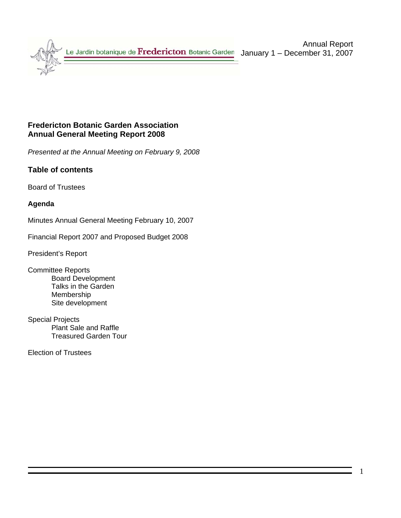

## **Fredericton Botanic Garden Association Annual General Meeting Report 2008**

*Presented at the Annual Meeting on February 9, 2008* 

## **Table of contents**

Board of Trustees

## **Agenda**

Minutes Annual General Meeting February 10, 2007

Financial Report 2007 and Proposed Budget 2008

President's Report

- Committee Reports Board Development Talks in the Garden Membership Site development
- Special Projects Plant Sale and Raffle Treasured Garden Tour

Election of Trustees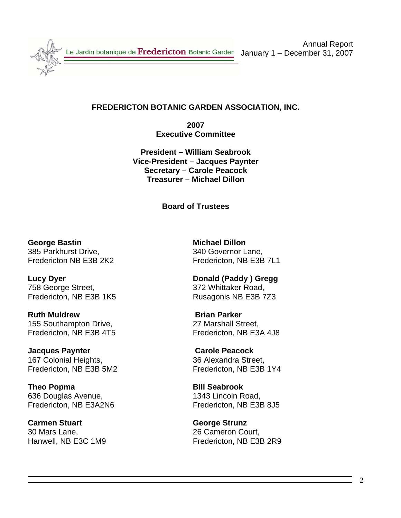

# **FREDERICTON BOTANIC GARDEN ASSOCIATION, INC.**

**2007 Executive Committee** 

**President – William Seabrook Vice-President – Jacques Paynter Secretary – Carole Peacock Treasurer – Michael Dillon** 

**Board of Trustees** 

**George Bastin Michael Dillon** 385 Parkhurst Drive, 340 Governor Lane,

**Lucy Dyer Donald (Paddy ) Gregg**  758 George Street, 372 Whittaker Road, Fredericton, NB E3B 1K5 Rusagonis NB E3B 7Z3

**Ruth Muldrew Brian Parker** 155 Southampton Drive, 27 Marshall Street, Fredericton, NB E3B 4T5 Fredericton, NB E3A 4J8

**Jacques Paynter Carole Peacock** 167 Colonial Heights, 36 Alexandra Street,

**Theo Popma Bill Seabrook** 636 Douglas Avenue, 1343 Lincoln Road,

**Carmen Stuart George Strunz** 30 Mars Lane, 26 Cameron Court,

Fredericton NB E3B 2K2 Fredericton, NB E3B 7L1

Fredericton, NB E3B 5M2 Fredericton, NB E3B 1Y4

Fredericton, NB E3A2N6 Fredericton, NB E3B 8J5

Hanwell, NB E3C 1M9 Fredericton, NB E3B 2R9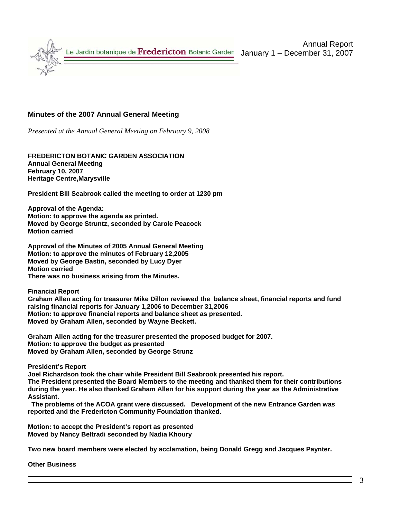

### **Minutes of the 2007 Annual General Meeting**

*Presented at the Annual General Meeting on February 9, 2008*

**FREDERICTON BOTANIC GARDEN ASSOCIATION Annual General Meeting February 10, 2007 Heritage Centre,Marysville** 

**President Bill Seabrook called the meeting to order at 1230 pm** 

**Approval of the Agenda: Motion: to approve the agenda as printed. Moved by George Struntz, seconded by Carole Peacock Motion carried** 

**Approval of the Minutes of 2005 Annual General Meeting Motion: to approve the minutes of February 12,2005 Moved by George Bastin, seconded by Lucy Dyer Motion carried There was no business arising from the Minutes.** 

**Financial Report** 

**Graham Allen acting for treasurer Mike Dillon reviewed the balance sheet, financial reports and fund raising financial reports for January 1,2006 to December 31,2006 Motion: to approve financial reports and balance sheet as presented. Moved by Graham Allen, seconded by Wayne Beckett.** 

**Graham Allen acting for the treasurer presented the proposed budget for 2007. Motion: to approve the budget as presented Moved by Graham Allen, seconded by George Strunz** 

**President's Report** 

**Joel Richardson took the chair while President Bill Seabrook presented his report. The President presented the Board Members to the meeting and thanked them for their contributions during the year. He also thanked Graham Allen for his support during the year as the Administrative Assistant.** 

 **The problems of the ACOA grant were discussed. Development of the new Entrance Garden was reported and the Fredericton Community Foundation thanked.** 

**Motion: to accept the President's report as presented Moved by Nancy Beltradi seconded by Nadia Khoury** 

**Two new board members were elected by acclamation, being Donald Gregg and Jacques Paynter.** 

**Other Business**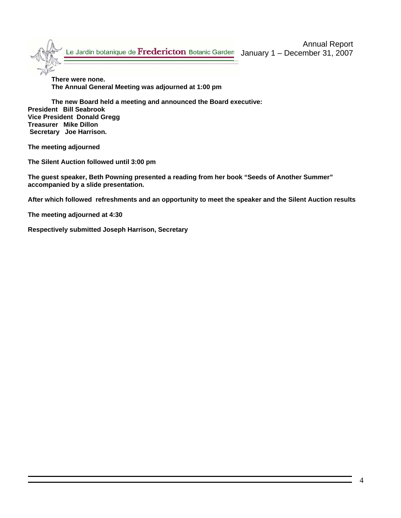**There were none. The Annual General Meeting was adjourned at 1:00 pm** 

**The new Board held a meeting and announced the Board executive: President Bill Seabrook Vice President Donald Gregg Treasurer Mike Dillon Secretary Joe Harrison.** 

**The meeting adjourned** 

**The Silent Auction followed until 3:00 pm** 

**The guest speaker, Beth Powning presented a reading from her book "Seeds of Another Summer" accompanied by a slide presentation.** 

**After which followed refreshments and an opportunity to meet the speaker and the Silent Auction results** 

**The meeting adjourned at 4:30** 

**Respectively submitted Joseph Harrison, Secretary**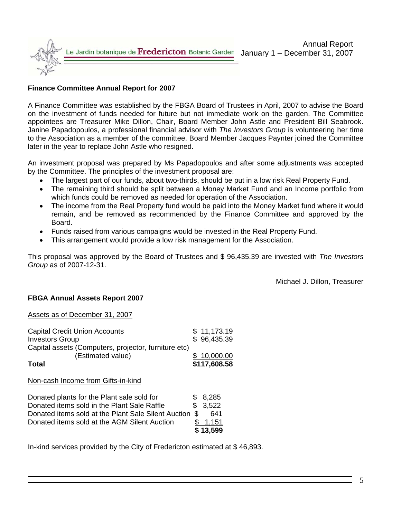

## **Finance Committee Annual Report for 2007**

A Finance Committee was established by the FBGA Board of Trustees in April, 2007 to advise the Board on the investment of funds needed for future but not immediate work on the garden. The Committee appointees are Treasurer Mike Dillon, Chair, Board Member John Astle and President Bill Seabrook. Janine Papadopoulos, a professional financial advisor with *The Investors Group* is volunteering her time to the Association as a member of the committee. Board Member Jacques Paynter joined the Committee later in the year to replace John Astle who resigned.

An investment proposal was prepared by Ms Papadopoulos and after some adjustments was accepted by the Committee. The principles of the investment proposal are:

- The largest part of our funds, about two-thirds, should be put in a low risk Real Property Fund.
- The remaining third should be split between a Money Market Fund and an Income portfolio from which funds could be removed as needed for operation of the Association.
- The income from the Real Property fund would be paid into the Money Market fund where it would remain, and be removed as recommended by the Finance Committee and approved by the Board.
- Funds raised from various campaigns would be invested in the Real Property Fund.
- This arrangement would provide a low risk management for the Association.

This proposal was approved by the Board of Trustees and \$ 96,435.39 are invested with *The Investors Group* as of 2007-12-31.

**\$ 13,599**

Michael J. Dillon, Treasurer

## **FBGA Annual Assets Report 2007**

### Assets as of December 31, 2007

| <b>Capital Credit Union Accounts</b>                                      |    | \$11,173.19  |
|---------------------------------------------------------------------------|----|--------------|
| <b>Investors Group</b>                                                    |    | \$96,435.39  |
| Capital assets (Computers, projector, furniture etc)<br>(Estimated value) |    | 10,000.00    |
| Total                                                                     |    | \$117,608.58 |
| Non-cash Income from Gifts-in-kind                                        |    |              |
| Donated plants for the Plant sale sold for                                |    | 8,285        |
| Donated items sold in the Plant Sale Raffle                               |    | 3,522        |
| Donated items sold at the Plant Sale Silent Auction                       | S. | 641          |
| Donated items sold at the AGM Silent Auction                              |    | 1.151        |

In-kind services provided by the City of Fredericton estimated at \$ 46,893.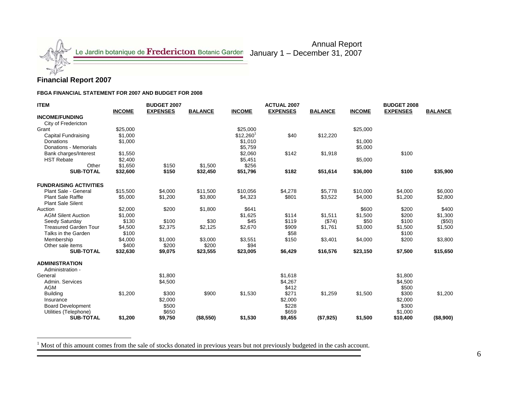

### **Financial Report 2007**

**FBGA FINANCIAL STATEMENT FOR 2007 AND BUDGET FOR 2008**

| <b>ITEM</b>                               |               | <b>BUDGET 2007</b> |                |                        | <b>ACTUAL 2007</b> |                |               | <b>BUDGET 2008</b> |                |
|-------------------------------------------|---------------|--------------------|----------------|------------------------|--------------------|----------------|---------------|--------------------|----------------|
|                                           | <b>INCOME</b> | <b>EXPENSES</b>    | <b>BALANCE</b> | <b>INCOME</b>          | <b>EXPENSES</b>    | <b>BALANCE</b> | <b>INCOME</b> | <b>EXPENSES</b>    | <b>BALANCE</b> |
| <b>INCOME/FUNDING</b>                     |               |                    |                |                        |                    |                |               |                    |                |
| City of Fredericton                       |               |                    |                |                        |                    |                |               |                    |                |
| Grant                                     | \$25,000      |                    |                | \$25,000               |                    |                | \$25,000      |                    |                |
| Capital Fundraising                       | \$1.000       |                    |                | $$12,260$ <sup>1</sup> | \$40               | \$12,220       |               |                    |                |
| <b>Donations</b>                          | \$1,000       |                    |                | \$1,010                |                    |                | \$1,000       |                    |                |
| Donations - Memorials                     |               |                    |                | \$5,759                |                    |                | \$5,000       |                    |                |
| Bank charges/Interest                     | \$1,550       |                    |                | \$2,060                | \$142              | \$1,918        |               | \$100              |                |
| <b>HST Rebate</b>                         | \$2,400       |                    |                | \$5,451                |                    |                | \$5,000       |                    |                |
| Other                                     | \$1,650       | \$150              | \$1,500        | \$256                  |                    |                |               |                    |                |
| <b>SUB-TOTAL</b>                          | \$32,600      | \$150              | \$32,450       | \$51,796               | \$182              | \$51,614       | \$36,000      | \$100              | \$35,900       |
| <b>FUNDRAISING ACTIVITIES</b>             |               |                    |                |                        |                    |                |               |                    |                |
| Plant Sale - General                      | \$15,500      | \$4,000            | \$11.500       | \$10.056               | \$4,278            | \$5.778        | \$10,000      | \$4,000            | \$6,000        |
| <b>Plant Sale Raffle</b>                  | \$5,000       | \$1,200            | \$3,800        | \$4,323                | \$801              | \$3,522        | \$4,000       | \$1,200            | \$2,800        |
| <b>Plant Sale Silent</b>                  |               |                    |                |                        |                    |                |               |                    |                |
| Auction                                   | \$2,000       | \$200              | \$1,800        | \$641                  |                    |                | \$600         | \$200              | \$400          |
| <b>AGM Silent Auction</b>                 | \$1,000       |                    |                | \$1,625                | \$114              | \$1,511        | \$1,500       | \$200              | \$1,300        |
| Seedy Saturday                            | \$130         | \$100              | \$30           | \$45                   | \$119              | (\$74)         | \$50          | \$100              | (\$50)         |
| <b>Treasured Garden Tour</b>              | \$4,500       | \$2,375            | \$2,125        | \$2,670                | \$909              | \$1,761        | \$3,000       | \$1,500            | \$1,500        |
| Talks in the Garden                       | \$100         |                    |                |                        | \$58               |                |               | \$100              |                |
| Membership                                | \$4,000       | \$1,000            | \$3,000        | \$3,551                | \$150              | \$3,401        | \$4,000       | \$200              | \$3,800        |
| Other sale items                          | \$400         | \$200              | \$200          | \$94                   |                    |                |               |                    |                |
| <b>SUB-TOTAL</b>                          | \$32,630      | \$9,075            | \$23,555       | \$23,005               | \$6,429            | \$16,576       | \$23,150      | \$7,500            | \$15,650       |
| <b>ADMINISTRATION</b><br>Administration - |               |                    |                |                        |                    |                |               |                    |                |
| General                                   |               | \$1,800            |                |                        | \$1,618            |                |               | \$1,800            |                |
| Admin, Services                           |               | \$4,500            |                |                        | \$4,267            |                |               | \$4,500            |                |
| <b>AGM</b>                                |               |                    |                |                        | \$412              |                |               | \$500              |                |
| <b>Building</b>                           | \$1,200       | \$300              | \$900          | \$1,530                | \$271              | \$1,259        | \$1,500       | \$300              | \$1,200        |
| Insurance                                 |               | \$2,000            |                |                        | \$2,000            |                |               | \$2,000            |                |
| <b>Board Development</b>                  |               | \$500              |                |                        | \$228              |                |               | \$300              |                |
| Utilities (Telephone)                     |               | \$650              |                |                        | \$659              |                |               | \$1,000            |                |
| <b>SUB-TOTAL</b>                          | \$1,200       | \$9,750            | (\$8,550)      | \$1,530                | \$9,455            | (\$7,925)      | \$1,500       | \$10,400           | (\$8,900)      |

Annual Report

<sup>1</sup> Most of this amount comes from the sale of stocks donated in previous years but not previously budgeted in the cash account.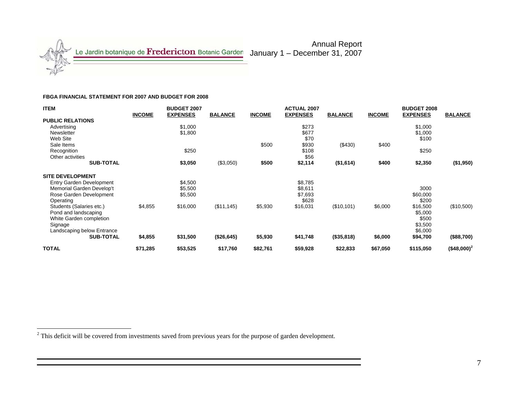

#### **FBGA FINANCIAL STATEMENT FOR 2007 AND BUDGET FOR 2008**

| <b>ITEM</b>                     |               | <b>BUDGET 2007</b> |                |               | <b>ACTUAL 2007</b> |                |               | <b>BUDGET 2008</b> |                |
|---------------------------------|---------------|--------------------|----------------|---------------|--------------------|----------------|---------------|--------------------|----------------|
|                                 | <b>INCOME</b> | <b>EXPENSES</b>    | <b>BALANCE</b> | <b>INCOME</b> | <b>EXPENSES</b>    | <b>BALANCE</b> | <b>INCOME</b> | <b>EXPENSES</b>    | <b>BALANCE</b> |
| <b>PUBLIC RELATIONS</b>         |               |                    |                |               |                    |                |               |                    |                |
| Advertising                     |               | \$1,000            |                |               | \$273              |                |               | \$1,000            |                |
| Newsletter                      |               | \$1,800            |                |               | \$677              |                |               | \$1,000            |                |
| Web Site                        |               |                    |                |               | \$70               |                |               | \$100              |                |
| Sale Items                      |               |                    |                | \$500         | \$930              | (\$430)        | \$400         |                    |                |
| Recognition                     |               | \$250              |                |               | \$108              |                |               | \$250              |                |
| Other activities                |               |                    |                |               | \$56               |                |               |                    |                |
| <b>SUB-TOTAL</b>                |               | \$3,050            | (\$3,050)      | \$500         | \$2,114            | (\$1,614)      | \$400         | \$2,350            | (\$1,950)      |
| <b>SITE DEVELOPMENT</b>         |               |                    |                |               |                    |                |               |                    |                |
| <b>Entry Garden Development</b> |               | \$4,500            |                |               | \$8,785            |                |               |                    |                |
| Memorial Garden Develop't       |               | \$5,500            |                |               | \$8,611            |                |               | 3000               |                |
| Rose Garden Development         |               | \$5,500            |                |               | \$7,693            |                |               | \$60,000           |                |
| Operating                       |               |                    |                |               | \$628              |                |               | \$200              |                |
| Students (Salaries etc.)        | \$4,855       | \$16,000           | (\$11, 145)    | \$5,930       | \$16,031           | (\$10,101)     | \$6,000       | \$16,500           | (\$10,500)     |
| Pond and landscaping            |               |                    |                |               |                    |                |               | \$5,000            |                |
| White Garden completion         |               |                    |                |               |                    |                |               | \$500              |                |
| Signage                         |               |                    |                |               |                    |                |               | \$3,500            |                |
| Landscaping below Entrance      |               |                    |                |               |                    |                |               | \$6,000            |                |
| <b>SUB-TOTAL</b>                | \$4,855       | \$31,500           | (\$26,645)     | \$5,930       | \$41,748           | (\$35,818)     | \$6,000       | \$94,700           | (\$88,700)     |
| <b>TOTAL</b>                    | \$71,285      | \$53,525           | \$17,760       | \$82,761      | \$59,928           | \$22,833       | \$67,050      | \$115,050          | $($48,000)^2$  |

Annual Report

<sup>&</sup>lt;sup>2</sup> This deficit will be covered from investments saved from previous years for the purpose of garden development.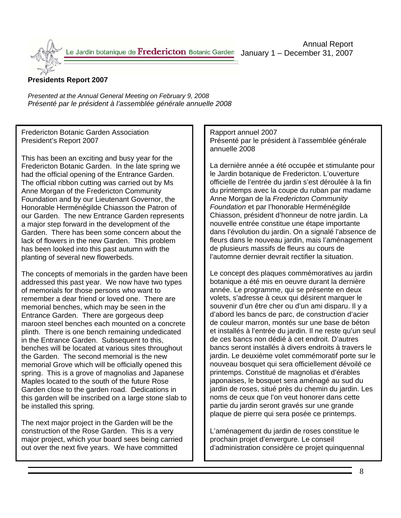Annual Report January 1 – December 31, 2007

## **Presidents Report 2007**

*Presented at the Annual General Meeting on February 9, 2008 Présenté par le président à l'assemblée générale annuelle 2008* 

Fredericton Botanic Garden Association President's Report 2007

This has been an exciting and busy year for the Fredericton Botanic Garden. In the late spring we had the official opening of the Entrance Garden. The official ribbon cutting was carried out by Ms Anne Morgan of the Fredericton Community Foundation and by our Lieutenant Governor, the Honorable Herménégilde Chiasson the Patron of our Garden. The new Entrance Garden represents a major step forward in the development of the Garden. There has been some concern about the lack of flowers in the new Garden. This problem has been looked into this past autumn with the planting of several new flowerbeds.

The concepts of memorials in the garden have been addressed this past year. We now have two types of memorials for those persons who want to remember a dear friend or loved one. There are memorial benches, which may be seen in the Entrance Garden. There are gorgeous deep maroon steel benches each mounted on a concrete plinth. There is one bench remaining undedicated in the Entrance Garden. Subsequent to this, benches will be located at various sites throughout the Garden. The second memorial is the new memorial Grove which will be officially opened this spring. This is a grove of magnolias and Japanese Maples located to the south of the future Rose Garden close to the garden road. Dedications in this garden will be inscribed on a large stone slab to be installed this spring.

The next major project in the Garden will be the construction of the Rose Garden. This is a very major project, which your board sees being carried out over the next five years. We have committed

Rapport annuel 2007 Présenté par le président à l'assemblée générale annuelle 2008

La dernière année a été occupée et stimulante pour le Jardin botanique de Fredericton. L'ouverture officielle de l'entrée du jardin s'est déroulée à la fin du printemps avec la coupe du ruban par madame Anne Morgan de la *Fredericton Community Foundation* et par l'honorable Herménégilde Chiasson, président d'honneur de notre jardin. La nouvelle entrée constitue une étape importante dans l'évolution du jardin. On a signalé l'absence de fleurs dans le nouveau jardin, mais l'aménagement de plusieurs massifs de fleurs au cours de l'automne dernier devrait rectifier la situation.

Le concept des plaques commémoratives au jardin botanique a été mis en oeuvre durant la dernière année. Le programme, qui se présente en deux volets, s'adresse à ceux qui désirent marquer le souvenir d'un être cher ou d'un ami disparu. Il y a d'abord les bancs de parc, de construction d'acier de couleur marron, montés sur une base de béton et installés à l'entrée du jardin. Il ne reste qu'un seul de ces bancs non dédié à cet endroit. D'autres bancs seront installés à divers endroits à travers le jardin. Le deuxième volet commémoratif porte sur le nouveau bosquet qui sera officiellement dévoilé ce printemps. Constitué de magnolias et d'érables japonaises, le bosquet sera aménagé au sud du jardin de roses, situé près du chemin du jardin. Les noms de ceux que l'on veut honorer dans cette partie du jardin seront gravés sur une grande plaque de pierre qui sera posée ce printemps.

L'aménagement du jardin de roses constitue le prochain projet d'envergure. Le conseil d'administration considère ce projet quinquennal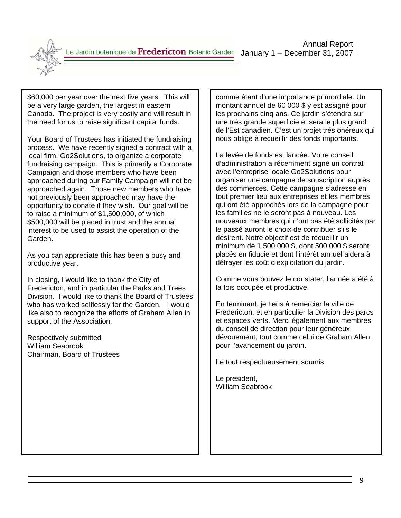

not previously been approached may have the<br>connectivity to denote if the unit by Our moderail has Your Board of Trustees has initiated the fundraising process. We have recently signed a contract with a local firm, Go2Solutions, to organize a corporate fundraising campaign. This is primarily a Corporate Campaign and those members who have been approached during our Family Campaign will not be approached again. Those new members who have opportunity to donate if they wish. Our goal will be to raise a minimum of \$1,500,000, of which \$500,000 will be placed in trust and the annual interest to be used to assist the operation of the Garden.

As you can appreciate this has been a busy and productive year.

In closing, I would like to thank the City of Fredericton, and in particular the Parks and Trees Division. I would like to thank the Board of Trustees who has worked selflessly for the Garden. I would like also to recognize the efforts of Graham Allen in support of the Association.

Respectively submitted William Seabrook Chairman, Board of Trustees

comme étant d'une importance primordiale. Un montant annuel de 60 000 \$ y est assigné pour les prochains cinq ans. Ce jardin s'étendra sur une très grande superficie et sera le plus grand de l'Est canadien. C'est un projet très onéreux qui nous oblige à recueillir des fonds importants.

La levée de fonds est lancée. Votre conseil d'administration a récemment signé un contrat avec l'entreprise locale Go2Solutions pour organiser une campagne de souscription auprès des commerces. Cette campagne s'adresse en tout premier lieu aux entreprises et les membres qui ont été approchés lors de la campagne pour les familles ne le seront pas à nouveau. Les nouveaux membres qui n'ont pas été sollicités par le passé auront le choix de contribuer s'ils le désirent. Notre objectif est de recueillir un minimum de 1 500 000 \$, dont 500 000 \$ seront placés en fiducie et dont l'intérêt annuel aidera à défrayer les coût d'exploitation du jardin.

Comme vous pouvez le constater, l'année a été à la fois occupée et productive.

En terminant, je tiens à remercier la ville de Fredericton, et en particulier la Division des parcs et espaces verts. Merci également aux membres du conseil de direction pour leur généreux dévouement, tout comme celui de Graham Allen, pour l'avancement du jardin.

Le tout respectueusement soumis,

Le president, William Seabrook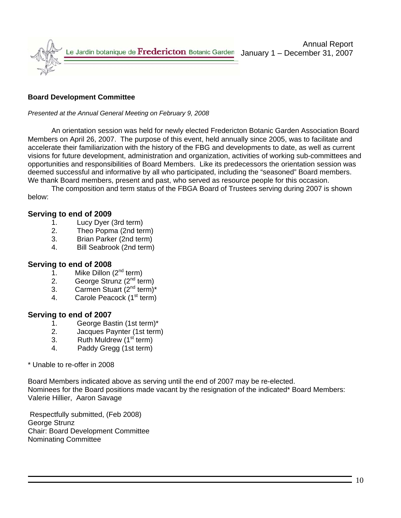

## **Board Development Committee**

*Presented at the Annual General Meeting on February 9, 2008*

 An orientation session was held for newly elected Fredericton Botanic Garden Association Board Members on April 26, 2007. The purpose of this event, held annually since 2005, was to facilitate and accelerate their familiarization with the history of the FBG and developments to date, as well as current visions for future development, administration and organization, activities of working sub-committees and opportunities and responsibilities of Board Members. Like its predecessors the orientation session was deemed successful and informative by all who participated, including the "seasoned" Board members. We thank Board members, present and past, who served as resource people for this occasion.

The composition and term status of the FBGA Board of Trustees serving during 2007 is shown below:

## **Serving to end of 2009**

- 1. Lucy Dyer (3rd term)
- 2. Theo Popma (2nd term)
- 3. Brian Parker (2nd term)
- 4. Bill Seabrook (2nd term)

### **Serving to end of 2008**

- 1. Mike Dillon  $(2^{nd}$  term)
- 2. George Strunz  $(2^{nd}$  term)
- 3. Carmen Stuart  $(2^{nd} \text{ term})^*$
- 4. Carole Peacock (1<sup>st</sup> term)

### **Serving to end of 2007**

- 1. George Bastin (1st term)\*<br>2. Jacques Paynter (1st term
- Jacques Paynter (1st term)
- 3. Ruth Muldrew  $(1<sup>st</sup>$  term)
- 4. Paddy Gregg (1st term)

### \* Unable to re-offer in 2008

Board Members indicated above as serving until the end of 2007 may be re-elected. Nominees for the Board positions made vacant by the resignation of the indicated\* Board Members: Valerie Hillier, Aaron Savage

 Respectfully submitted, (Feb 2008) George Strunz Chair: Board Development Committee Nominating Committee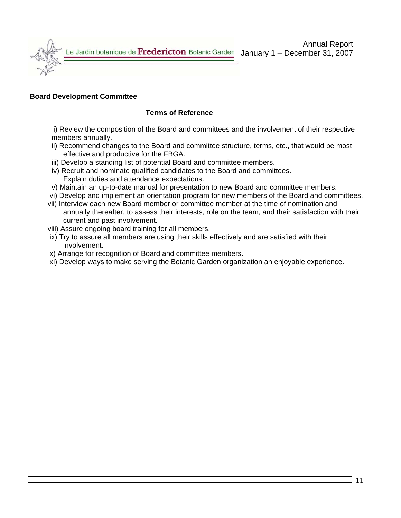

### **Board Development Committee**

## **Terms of Reference**

 i) Review the composition of the Board and committees and the involvement of their respective members annually.

- ii) Recommend changes to the Board and committee structure, terms, etc., that would be most effective and productive for the FBGA.
- iii) Develop a standing list of potential Board and committee members.
- iv) Recruit and nominate qualified candidates to the Board and committees. Explain duties and attendance expectations.
- v) Maintain an up-to-date manual for presentation to new Board and committee members.
- vi) Develop and implement an orientation program for new members of the Board and committees.
- vii) Interview each new Board member or committee member at the time of nomination and annually thereafter, to assess their interests, role on the team, and their satisfaction with their current and past involvement.
- viii) Assure ongoing board training for all members.
- ix) Try to assure all members are using their skills effectively and are satisfied with their involvement.
- x) Arrange for recognition of Board and committee members.
- xi) Develop ways to make serving the Botanic Garden organization an enjoyable experience.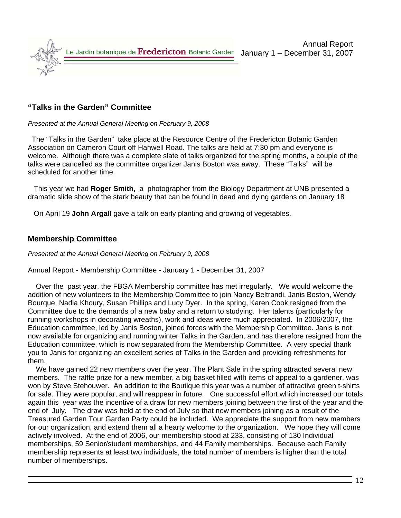

## **"Talks in the Garden" Committee**

#### *Presented at the Annual General Meeting on February 9, 2008*

 The "Talks in the Garden" take place at the Resource Centre of the Fredericton Botanic Garden Association on Cameron Court off Hanwell Road. The talks are held at 7:30 pm and everyone is welcome. Although there was a complete slate of talks organized for the spring months, a couple of the talks were cancelled as the committee organizer Janis Boston was away. These "Talks" will be scheduled for another time.

 This year we had **Roger Smith,** a photographer from the Biology Department at UNB presented a dramatic slide show of the stark beauty that can be found in dead and dying gardens on January 18

On April 19 **John Argall** gave a talk on early planting and growing of vegetables.

## **Membership Committee**

#### *Presented at the Annual General Meeting on February 9, 2008*

Annual Report - Membership Committee - January 1 - December 31, 2007

 Over the past year, the FBGA Membership committee has met irregularly. We would welcome the addition of new volunteers to the Membership Committee to join Nancy Beltrandi, Janis Boston, Wendy Bourque, Nadia Khoury, Susan Phillips and Lucy Dyer. In the spring, Karen Cook resigned from the Committee due to the demands of a new baby and a return to studying. Her talents (particularly for running workshops in decorating wreaths), work and ideas were much appreciated. In 2006/2007, the Education committee, led by Janis Boston, joined forces with the Membership Committee. Janis is not now available for organizing and running winter Talks in the Garden, and has therefore resigned from the Education committee, which is now separated from the Membership Committee. A very special thank you to Janis for organizing an excellent series of Talks in the Garden and providing refreshments for them.

 We have gained 22 new members over the year. The Plant Sale in the spring attracted several new members. The raffle prize for a new member, a big basket filled with items of appeal to a gardener, was won by Steve Stehouwer. An addition to the Boutique this year was a number of attractive green t-shirts for sale. They were popular, and will reappear in future. One successful effort which increased our totals again this year was the incentive of a draw for new members joining between the first of the year and the end of July. The draw was held at the end of July so that new members joining as a result of the Treasured Garden Tour Garden Party could be included. We appreciate the support from new members for our organization, and extend them all a hearty welcome to the organization. We hope they will come actively involved. At the end of 2006, our membership stood at 233, consisting of 130 Individual memberships, 59 Senior/student memberships, and 44 Family memberships. Because each Family membership represents at least two individuals, the total number of members is higher than the total number of memberships.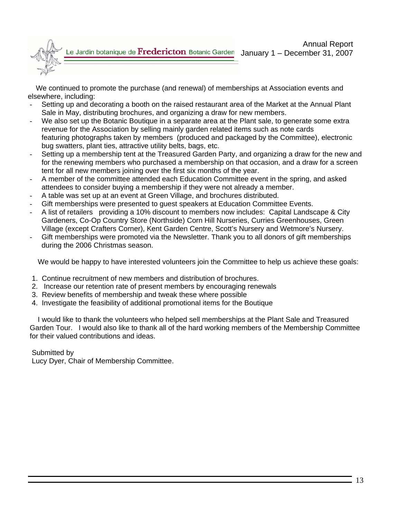

 We continued to promote the purchase (and renewal) of memberships at Association events and elsewhere, including:

- Setting up and decorating a booth on the raised restaurant area of the Market at the Annual Plant Sale in May, distributing brochures, and organizing a draw for new members.
- We also set up the Botanic Boutique in a separate area at the Plant sale, to generate some extra revenue for the Association by selling mainly garden related items such as note cards featuring photographs taken by members (produced and packaged by the Committee), electronic bug swatters, plant ties, attractive utility belts, bags, etc.
- Setting up a membership tent at the Treasured Garden Party, and organizing a draw for the new and for the renewing members who purchased a membership on that occasion, and a draw for a screen tent for all new members joining over the first six months of the year.
- A member of the committee attended each Education Committee event in the spring, and asked attendees to consider buying a membership if they were not already a member.
- A table was set up at an event at Green Village, and brochures distributed.
- Gift memberships were presented to quest speakers at Education Committee Events.
- A list of retailers providing a 10% discount to members now includes: Capital Landscape & City Gardeners, Co-Op Country Store (Northside) Corn Hill Nurseries, Curries Greenhouses, Green Village (except Crafters Corner), Kent Garden Centre, Scott's Nursery and Wetmore's Nursery.
- Gift memberships were promoted via the Newsletter. Thank you to all donors of gift memberships during the 2006 Christmas season.

We would be happy to have interested volunteers join the Committee to help us achieve these goals:

- 1. Continue recruitment of new members and distribution of brochures.
- 2. Increase our retention rate of present members by encouraging renewals
- 3. Review benefits of membership and tweak these where possible
- 4. Investigate the feasibility of additional promotional items for the Boutique

 I would like to thank the volunteers who helped sell memberships at the Plant Sale and Treasured Garden Tour. I would also like to thank all of the hard working members of the Membership Committee for their valued contributions and ideas.

### Submitted by

Lucy Dyer, Chair of Membership Committee.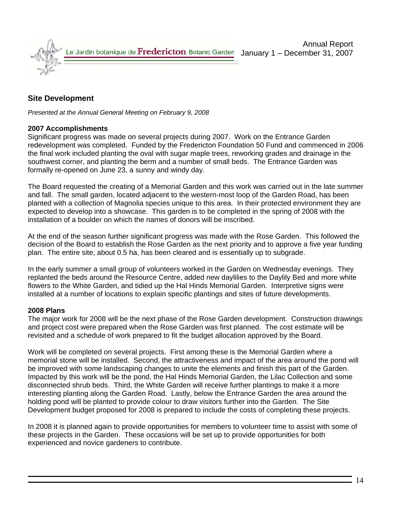

# **Site Development**

*Presented at the Annual General Meeting on February 9, 2008* 

## **2007 Accomplishments**

Significant progress was made on several projects during 2007. Work on the Entrance Garden redevelopment was completed. Funded by the Fredericton Foundation 50 Fund and commenced in 2006 the final work included planting the oval with sugar maple trees, reworking grades and drainage in the southwest corner, and planting the berm and a number of small beds. The Entrance Garden was formally re-opened on June 23, a sunny and windy day.

The Board requested the creating of a Memorial Garden and this work was carried out in the late summer and fall. The small garden, located adjacent to the western-most loop of the Garden Road, has been planted with a collection of Magnolia species unique to this area. In their protected environment they are expected to develop into a showcase. This garden is to be completed in the spring of 2008 with the installation of a boulder on which the names of donors will be inscribed.

At the end of the season further significant progress was made with the Rose Garden. This followed the decision of the Board to establish the Rose Garden as the next priority and to approve a five year funding plan. The entire site, about 0.5 ha, has been cleared and is essentially up to subgrade.

In the early summer a small group of volunteers worked in the Garden on Wednesday evenings. They replanted the beds around the Resource Centre, added new daylilies to the Daylily Bed and more white flowers to the White Garden, and tidied up the Hal Hinds Memorial Garden. Interpretive signs were installed at a number of locations to explain specific plantings and sites of future developments.

## **2008 Plans**

The major work for 2008 will be the next phase of the Rose Garden development. Construction drawings and project cost were prepared when the Rose Garden was first planned. The cost estimate will be revisited and a schedule of work prepared to fit the budget allocation approved by the Board.

Work will be completed on several projects. First among these is the Memorial Garden where a memorial stone will be installed. Second, the attractiveness and impact of the area around the pond will be improved with some landscaping changes to unite the elements and finish this part of the Garden. Impacted by this work will be the pond, the Hal Hinds Memorial Garden, the Lilac Collection and some disconnected shrub beds. Third, the White Garden will receive further plantings to make it a more interesting planting along the Garden Road. Lastly, below the Entrance Garden the area around the holding pond will be planted to provide colour to draw visitors further into the Garden. The Site Development budget proposed for 2008 is prepared to include the costs of completing these projects.

In 2008 it is planned again to provide opportunities for members to volunteer time to assist with some of these projects in the Garden. These occasions will be set up to provide opportunities for both experienced and novice gardeners to contribute.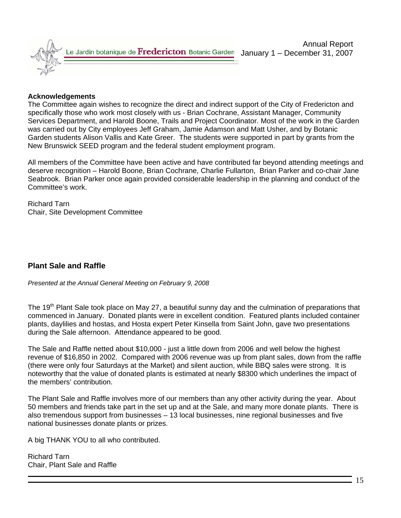

### **Acknowledgements**

The Committee again wishes to recognize the direct and indirect support of the City of Fredericton and specifically those who work most closely with us - Brian Cochrane, Assistant Manager, Community Services Department, and Harold Boone, Trails and Project Coordinator. Most of the work in the Garden was carried out by City employees Jeff Graham, Jamie Adamson and Matt Usher, and by Botanic Garden students Alison Vallis and Kate Greer. The students were supported in part by grants from the New Brunswick SEED program and the federal student employment program.

All members of the Committee have been active and have contributed far beyond attending meetings and deserve recognition – Harold Boone, Brian Cochrane, Charlie Fullarton, Brian Parker and co-chair Jane Seabrook. Brian Parker once again provided considerable leadership in the planning and conduct of the Committee's work.

Richard Tarn Chair, Site Development Committee

## **Plant Sale and Raffle**

*Presented at the Annual General Meeting on February 9, 2008* 

The 19<sup>th</sup> Plant Sale took place on May 27, a beautiful sunny day and the culmination of preparations that commenced in January. Donated plants were in excellent condition. Featured plants included container plants, daylilies and hostas, and Hosta expert Peter Kinsella from Saint John, gave two presentations during the Sale afternoon. Attendance appeared to be good.

The Sale and Raffle netted about \$10,000 - just a little down from 2006 and well below the highest revenue of \$16,850 in 2002. Compared with 2006 revenue was up from plant sales, down from the raffle (there were only four Saturdays at the Market) and silent auction, while BBQ sales were strong. It is noteworthy that the value of donated plants is estimated at nearly \$8300 which underlines the impact of the members' contribution.

The Plant Sale and Raffle involves more of our members than any other activity during the year. About 50 members and friends take part in the set up and at the Sale, and many more donate plants. There is also tremendous support from businesses – 13 local businesses, nine regional businesses and five national businesses donate plants or prizes.

A big THANK YOU to all who contributed.

Richard Tarn Chair, Plant Sale and Raffle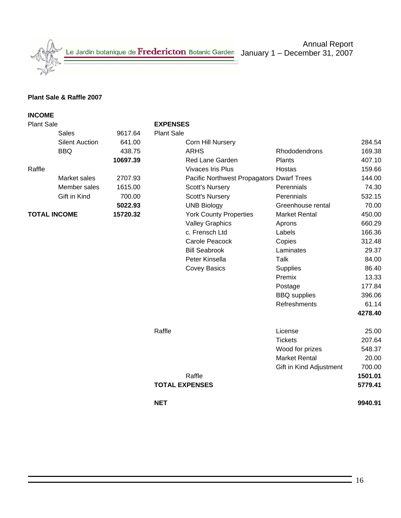Annual Report January 1 – December 31, 2007

### **Plant Sale & Raffle 2007**

# **INCOME**  Plant Sale **EXPENSES**  Sales 9617.64 Plant Sale Silent Auction 641.00 Corn Hill Nursery 284.54 BBQ 438.75 ARHS Rhododendrons 169.38 **10697.39 Red Lane Garden Plants** Plants 407.10 Raffle **Contract Contract Contract Contract Contract Contract Contract Contract Contract Contract Contract Contract Contract Contract Contract Operation (159.66)** Market sales 2707.93 Pacific Northwest Propagators Dwarf Trees 144.00 Member sales 1615.00 Scott's Nursery Perennials 74.30 Gift in Kind 700.00 Scott's Nursery Perennials 532.15 **5022.93** UNB Biology Greenhouse rental 70.00 **TOTAL INCOME 15720.32** York County Properties Market Rental 450.00 Valley Graphics **Aprons** 660.29 c. Frensch Ltd Labels 166.36 Carole Peacock Copies 212.48 Bill Seabrook Laminates 29.37 Peter Kinsella Talk 84.00 Covey Basics Supplies Supplies 86.40 example of the contract of the contract of the Premix and the contract of the contract of the contract of the contract of the contract of the contract of the contract of the contract of the contract of the contract of the Postage 177.84 BBQ supplies 396.06 Refreshments 61.14 **4278.40** Raffle License 25.00 Tickets 207.64 Wood for prizes 548.37 Market Rental 20.00 Gift in Kind Adjustment 700.00 Raffle **1501.01 TOTAL EXPENSES 5779.41 NET 9940.91**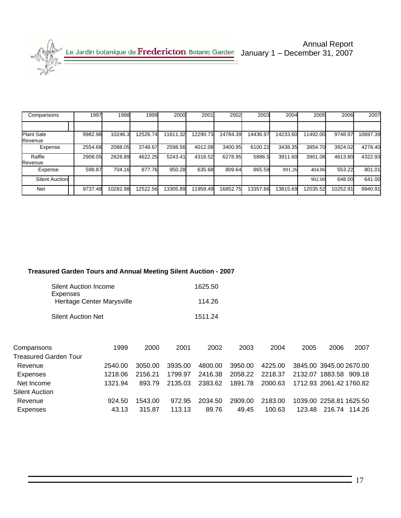Annual Report Annual Report<br>Le Jardin botanique de Fredericton Botanic Garden January 1 – December 31, 2007

| Comparisons           | 1997    | 1998     | 1999     | 2000     | 2001     | 2002     | 2003     | 2004     | 2005     | 2006     | 2007     |
|-----------------------|---------|----------|----------|----------|----------|----------|----------|----------|----------|----------|----------|
|                       |         |          |          |          |          |          |          |          |          |          |          |
| Plant Sale<br>Revenue | 9982.98 | 10246.3  | 12526.74 | 11611.32 | 12290.73 | 14784.39 | 14436.97 | 14233.60 | 11492.00 | 9748.97  | 10697.39 |
| Expense               | 2554.68 | 2088.05  | 3748.67  | 2598.56  | 4012.08  | 3400.95  | 6100.22  | 3438.35  | 3854.70  | 3924.02  | 4278.40  |
| Raffle<br>Revenue     | 2908.05 | 2828.89  | 4622.25  | 5243.41  | 4316.52  | 6278.95  | 5886.5   | 3911.60  | 3901.08  | 4613.80  | 4322.93  |
| Expense               | 598.87  | 704.16   | 877.76   | 950.28   | 635.68   | 809.64   | 865.59   | 891.26   | 404.86   | 553.22   | 801.01   |
| Silent Auction        |         |          |          |          |          |          |          |          | 902.00   | 648.00   | 641.00   |
| Net                   | 9737.48 | 10282.98 | 12522.56 | 13305.89 | 11959.49 | 16852.75 | 13357.66 | 13815.69 | 12035.52 | 10252.91 | 9940.91  |

## **Treasured Garden Tours and Annual Meeting Silent Auction - 2007**

| <b>Silent Auction Income</b>           | 1625.50 |
|----------------------------------------|---------|
| Expenses<br>Heritage Center Marysville | 114.26  |
| <b>Silent Auction Net</b>              | 1511.24 |

| Comparisons                  | 1999    | 2000    | 2001    | 2002    | 2003    | 2004    | 2005   | 2006                    | 2007   |
|------------------------------|---------|---------|---------|---------|---------|---------|--------|-------------------------|--------|
| <b>Treasured Garden Tour</b> |         |         |         |         |         |         |        |                         |        |
| Revenue                      | 2540.00 | 3050.00 | 3935.00 | 4800.00 | 3950.00 | 4225.00 |        | 3845.00 3945.00 2670.00 |        |
| Expenses                     | 1218.06 | 2156.21 | 1799.97 | 2416.38 | 2058.22 | 2218.37 |        | 2132.07 1883.58         | 909.18 |
| Net Income                   | 1321.94 | 893.79  | 2135.03 | 2383.62 | 1891.78 | 2000.63 |        | 1712.93 2061.42 1760.82 |        |
| <b>Silent Auction</b>        |         |         |         |         |         |         |        |                         |        |
| Revenue                      | 924.50  | 1543.00 | 972.95  | 2034.50 | 2909.00 | 2183.00 |        | 1039.00 2258.81 1625.50 |        |
| Expenses                     | 43.13   | 315.87  | 113.13  | 89.76   | 49.45   | 100.63  | 123.48 | 216.74                  | 114.26 |